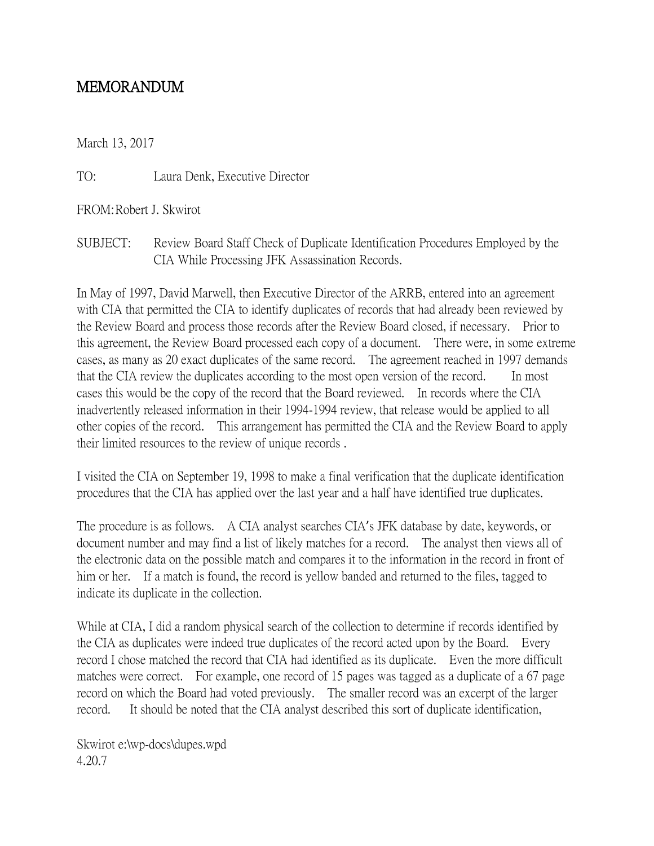## MEMORANDUM

March 13, 2017

TO: Laura Denk, Executive Director

FROM:Robert J. Skwirot

SUBJECT: Review Board Staff Check of Duplicate Identification Procedures Employed by the CIA While Processing JFK Assassination Records.

In May of 1997, David Marwell, then Executive Director of the ARRB, entered into an agreement with CIA that permitted the CIA to identify duplicates of records that had already been reviewed by the Review Board and process those records after the Review Board closed, if necessary. Prior to this agreement, the Review Board processed each copy of a document. There were, in some extreme cases, as many as 20 exact duplicates of the same record. The agreement reached in 1997 demands that the CIA review the duplicates according to the most open version of the record. In most cases this would be the copy of the record that the Board reviewed. In records where the CIA inadvertently released information in their 1994-1994 review, that release would be applied to all other copies of the record. This arrangement has permitted the CIA and the Review Board to apply their limited resources to the review of unique records .

I visited the CIA on September 19, 1998 to make a final verification that the duplicate identification procedures that the CIA has applied over the last year and a half have identified true duplicates.

The procedure is as follows. A CIA analyst searches CIA's JFK database by date, keywords, or document number and may find a list of likely matches for a record. The analyst then views all of the electronic data on the possible match and compares it to the information in the record in front of him or her. If a match is found, the record is yellow banded and returned to the files, tagged to indicate its duplicate in the collection.

While at CIA, I did a random physical search of the collection to determine if records identified by the CIA as duplicates were indeed true duplicates of the record acted upon by the Board. Every record I chose matched the record that CIA had identified as its duplicate. Even the more difficult matches were correct. For example, one record of 15 pages was tagged as a duplicate of a 67 page record on which the Board had voted previously. The smaller record was an excerpt of the larger record. It should be noted that the CIA analyst described this sort of duplicate identification,

Skwirot e:\wp-docs\dupes.wpd 4.20.7